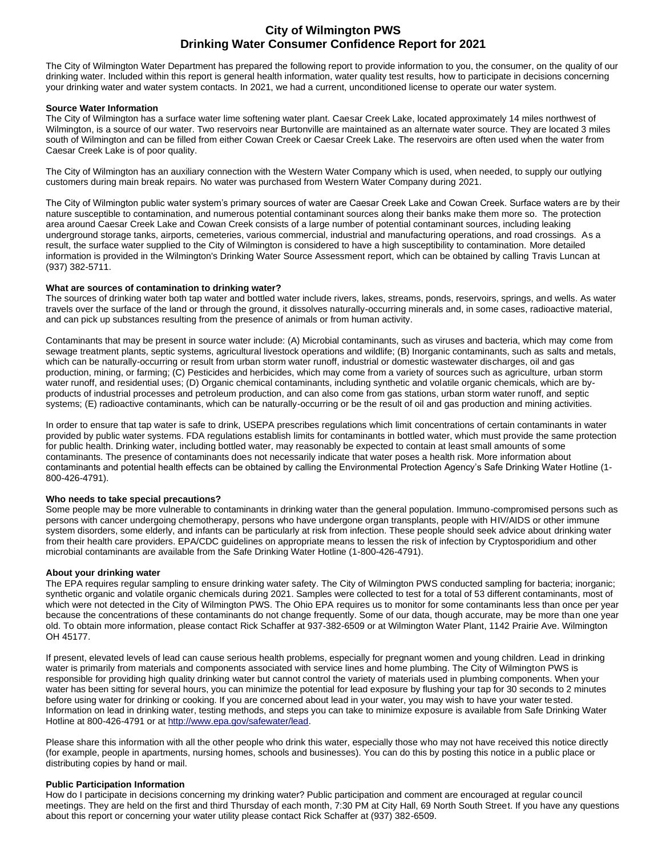# **City of Wilmington PWS Drinking Water Consumer Confidence Report for 2021**

The City of Wilmington Water Department has prepared the following report to provide information to you, the consumer, on the quality of our drinking water. Included within this report is general health information, water quality test results, how to participate in decisions concerning your drinking water and water system contacts. In 2021, we had a current, unconditioned license to operate our water system.

## **Source Water Information**

The City of Wilmington has a surface water lime softening water plant. Caesar Creek Lake, located approximately 14 miles northwest of Wilmington, is a source of our water. Two reservoirs near Burtonville are maintained as an alternate water source. They are located 3 miles south of Wilmington and can be filled from either Cowan Creek or Caesar Creek Lake. The reservoirs are often used when the water from Caesar Creek Lake is of poor quality.

The City of Wilmington has an auxiliary connection with the Western Water Company which is used, when needed, to supply our outlying customers during main break repairs. No water was purchased from Western Water Company during 2021.

The City of Wilmington public water system's primary sources of water are Caesar Creek Lake and Cowan Creek. Surface waters are by their nature susceptible to contamination, and numerous potential contaminant sources along their banks make them more so. The protection area around Caesar Creek Lake and Cowan Creek consists of a large number of potential contaminant sources, including leaking underground storage tanks, airports, cemeteries, various commercial, industrial and manufacturing operations, and road crossings. As a result, the surface water supplied to the City of Wilmington is considered to have a high susceptibility to contamination. More detailed information is provided in the Wilmington's Drinking Water Source Assessment report, which can be obtained by calling Travis Luncan at (937) 382-5711.

# **What are sources of contamination to drinking water?**

The sources of drinking water both tap water and bottled water include rivers, lakes, streams, ponds, reservoirs, springs, and wells. As water travels over the surface of the land or through the ground, it dissolves naturally-occurring minerals and, in some cases, radioactive material, and can pick up substances resulting from the presence of animals or from human activity.

Contaminants that may be present in source water include: (A) Microbial contaminants, such as viruses and bacteria, which may come from sewage treatment plants, septic systems, agricultural livestock operations and wildlife; (B) Inorganic contaminants, such as salts and metals, which can be naturally-occurring or result from urban storm water runoff, industrial or domestic wastewater discharges, oil and gas production, mining, or farming; (C) Pesticides and herbicides, which may come from a variety of sources such as agriculture, urban storm water runoff, and residential uses; (D) Organic chemical contaminants, including synthetic and volatile organic chemicals, which are byproducts of industrial processes and petroleum production, and can also come from gas stations, urban storm water runoff, and septic systems; (E) radioactive contaminants, which can be naturally-occurring or be the result of oil and gas production and mining activities.

In order to ensure that tap water is safe to drink, USEPA prescribes regulations which limit concentrations of certain contaminants in water provided by public water systems. FDA regulations establish limits for contaminants in bottled water, which must provide the same protection for public health. Drinking water, including bottled water, may reasonably be expected to contain at least small amounts of some contaminants. The presence of contaminants does not necessarily indicate that water poses a health risk. More information about contaminants and potential health effects can be obtained by calling the Environmental Protection Agency's Safe Drinking Water Hotline (1- 800-426-4791).

### **Who needs to take special precautions?**

Some people may be more vulnerable to contaminants in drinking water than the general population. Immuno-compromised persons such as persons with cancer undergoing chemotherapy, persons who have undergone organ transplants, people with HIV/AIDS or other immune system disorders, some elderly, and infants can be particularly at risk from infection. These people should seek advice about drinking water from their health care providers. EPA/CDC guidelines on appropriate means to lessen the risk of infection by Cryptosporidium and other microbial contaminants are available from the Safe Drinking Water Hotline (1-800-426-4791).

### **About your drinking water**

The EPA requires regular sampling to ensure drinking water safety. The City of Wilmington PWS conducted sampling for bacteria; inorganic; synthetic organic and volatile organic chemicals during 2021. Samples were collected to test for a total of 53 different contaminants, most of which were not detected in the City of Wilmington PWS. The Ohio EPA requires us to monitor for some contaminants less than once per year because the concentrations of these contaminants do not change frequently. Some of our data, though accurate, may be more than one year old. To obtain more information, please contact Rick Schaffer at 937-382-6509 or at Wilmington Water Plant, 1142 Prairie Ave. Wilmington OH 45177.

If present, elevated levels of lead can cause serious health problems, especially for pregnant women and young children. Lead in drinking water is primarily from materials and components associated with service lines and home plumbing. The City of Wilmington PWS is responsible for providing high quality drinking water but cannot control the variety of materials used in plumbing components. When your water has been sitting for several hours, you can minimize the potential for lead exposure by flushing your tap for 30 seconds to 2 minutes before using water for drinking or cooking. If you are concerned about lead in your water, you may wish to have your water tested. Information on lead in drinking water, testing methods, and steps you can take to minimize exposure is available from Safe Drinking Water Hotline at 800-426-4791 or a[t http://www.epa.gov/safewater/lead.](http://www.epa.gov/safewater/lead)

Please share this information with all the other people who drink this water, especially those who may not have received this notice directly (for example, people in apartments, nursing homes, schools and businesses). You can do this by posting this notice in a public place or distributing copies by hand or mail.

## **Public Participation Information**

How do I participate in decisions concerning my drinking water? Public participation and comment are encouraged at regular council meetings. They are held on the first and third Thursday of each month, 7:30 PM at City Hall, 69 North South Street. If you have any questions about this report or concerning your water utility please contact Rick Schaffer at (937) 382-6509.